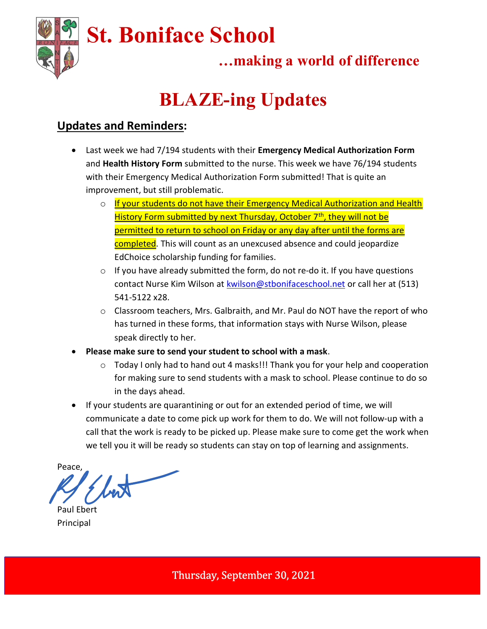

### …making a world of difference

# BLAZE-ing Updates

### Updates and Reminders:

- Last week we had 7/194 students with their Emergency Medical Authorization Form and Health History Form submitted to the nurse. This week we have 76/194 students with their Emergency Medical Authorization Form submitted! That is quite an improvement, but still problematic.
	- o If your students do not have their Emergency Medical Authorization and Health History Form submitted by next Thursday, October 7<sup>th</sup>, they will not be permitted to return to school on Friday or any day after until the forms are completed. This will count as an unexcused absence and could jeopardize EdChoice scholarship funding for families.
	- $\circ$  If you have already submitted the form, do not re-do it. If you have questions contact Nurse Kim Wilson at kwilson@stbonifaceschool.net or call her at (513) 541-5122 x28.
	- $\circ$  Classroom teachers, Mrs. Galbraith, and Mr. Paul do NOT have the report of who has turned in these forms, that information stays with Nurse Wilson, please speak directly to her.
- Please make sure to send your student to school with a mask.
	- $\circ$  Today I only had to hand out 4 masks!!! Thank you for your help and cooperation for making sure to send students with a mask to school. Please continue to do so in the days ahead.
- If your students are quarantining or out for an extended period of time, we will communicate a date to come pick up work for them to do. We will not follow-up with a call that the work is ready to be picked up. Please make sure to come get the work when we tell you it will be ready so students can stay on top of learning and assignments.

Peace,

Paul Ebert Principal